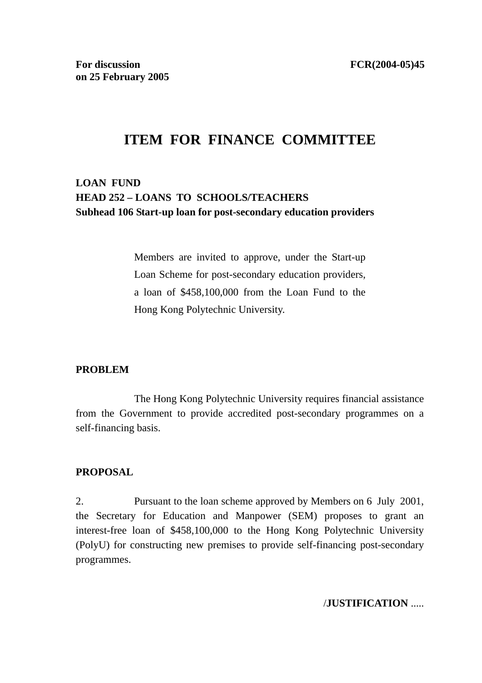# **ITEM FOR FINANCE COMMITTEE**

## **LOAN FUND HEAD 252 – LOANS TO SCHOOLS/TEACHERS Subhead 106 Start-up loan for post-secondary education providers**

Members are invited to approve, under the Start-up Loan Scheme for post-secondary education providers, a loan of \$458,100,000 from the Loan Fund to the Hong Kong Polytechnic University.

#### **PROBLEM**

 The Hong Kong Polytechnic University requires financial assistance from the Government to provide accredited post-secondary programmes on a self-financing basis.

#### **PROPOSAL**

2. Pursuant to the loan scheme approved by Members on 6 July 2001, the Secretary for Education and Manpower (SEM) proposes to grant an interest-free loan of \$458,100,000 to the Hong Kong Polytechnic University (PolyU) for constructing new premises to provide self-financing post-secondary programmes.

#### /**JUSTIFICATION** .....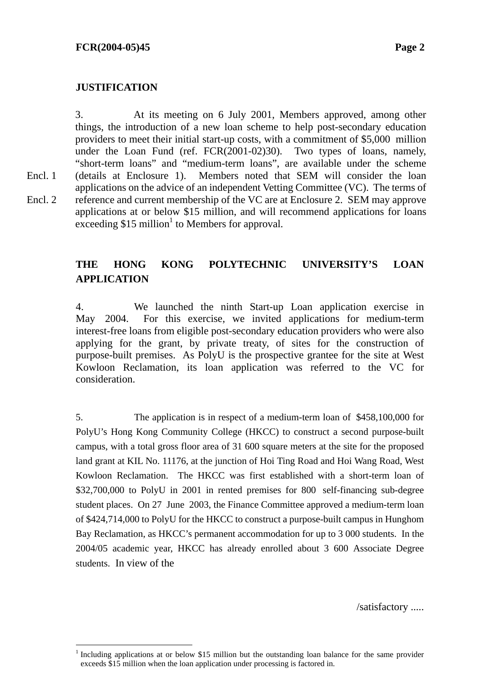$\overline{a}$ 

Encl. 1 Encl. 2 3. At its meeting on 6 July 2001, Members approved, among other things, the introduction of a new loan scheme to help post-secondary education providers to meet their initial start-up costs, with a commitment of \$5,000 million under the Loan Fund (ref. FCR(2001-02)30). Two types of loans, namely, "short-term loans" and "medium-term loans", are available under the scheme (details at Enclosure 1). Members noted that SEM will consider the loan applications on the advice of an independent Vetting Committee (VC). The terms of reference and current membership of the VC are at Enclosure 2. SEM may approve applications at or below \$15 million, and will recommend applications for loans  $\arccos$  arcsecding \$15 million<sup>1</sup> to Members for approval.

## **THE HONG KONG POLYTECHNIC UNIVERSITY'S LOAN APPLICATION**

4. We launched the ninth Start-up Loan application exercise in May 2004. For this exercise, we invited applications for medium-term interest-free loans from eligible post-secondary education providers who were also applying for the grant, by private treaty, of sites for the construction of purpose-built premises. As PolyU is the prospective grantee for the site at West Kowloon Reclamation, its loan application was referred to the VC for consideration.

5. The application is in respect of a medium-term loan of \$458,100,000 for PolyU's Hong Kong Community College (HKCC) to construct a second purpose-built campus, with a total gross floor area of 31 600 square meters at the site for the proposed land grant at KIL No. 11176, at the junction of Hoi Ting Road and Hoi Wang Road, West Kowloon Reclamation. The HKCC was first established with a short-term loan of \$32,700,000 to PolyU in 2001 in rented premises for 800 self-financing sub-degree student places. On 27 June 2003, the Finance Committee approved a medium-term loan of \$424,714,000 to PolyU for the HKCC to construct a purpose-built campus in Hunghom Bay Reclamation, as HKCC's permanent accommodation for up to 3 000 students. In the 2004/05 academic year, HKCC has already enrolled about 3 600 Associate Degree students. In view of the

/satisfactory .....

<sup>1</sup> Including applications at or below \$15 million but the outstanding loan balance for the same provider exceeds \$15 million when the loan application under processing is factored in.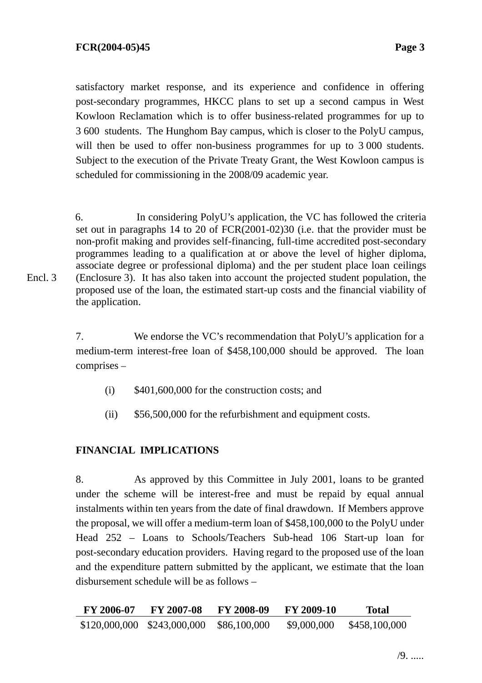satisfactory market response, and its experience and confidence in offering post-secondary programmes, HKCC plans to set up a second campus in West Kowloon Reclamation which is to offer business-related programmes for up to 3 600 students. The Hunghom Bay campus, which is closer to the PolyU campus, will then be used to offer non-business programmes for up to 3 000 students. Subject to the execution of the Private Treaty Grant, the West Kowloon campus is scheduled for commissioning in the 2008/09 academic year.

6. In considering PolyU's application, the VC has followed the criteria set out in paragraphs 14 to 20 of FCR(2001-02)30 (i.e. that the provider must be non-profit making and provides self-financing, full-time accredited post-secondary programmes leading to a qualification at or above the level of higher diploma, associate degree or professional diploma) and the per student place loan ceilings (Enclosure 3). It has also taken into account the projected student population, the proposed use of the loan, the estimated start-up costs and the financial viability of the application.

7. We endorse the VC's recommendation that PolyU's application for a medium-term interest-free loan of \$458,100,000 should be approved. The loan comprises –

- $(i)$  \$401,600,000 for the construction costs; and
- (ii) \$56,500,000 for the refurbishment and equipment costs.

## **FINANCIAL IMPLICATIONS**

8. As approved by this Committee in July 2001, loans to be granted under the scheme will be interest-free and must be repaid by equal annual instalments within ten years from the date of final drawdown. If Members approve the proposal, we will offer a medium-term loan of \$458,100,000 to the PolyU under Head 252 – Loans to Schools/Teachers Sub-head 106 Start-up loan for post-secondary education providers. Having regard to the proposed use of the loan and the expenditure pattern submitted by the applicant, we estimate that the loan disbursement schedule will be as follows –

| FY 2006-07                  | FY 2007-08 | <b>FY 2008-09</b> | FY 2009-10  | <b>Total</b>  |
|-----------------------------|------------|-------------------|-------------|---------------|
| \$120,000,000 \$243,000,000 |            | \$86,100,000      | \$9,000,000 | \$458,100,000 |

Encl. 3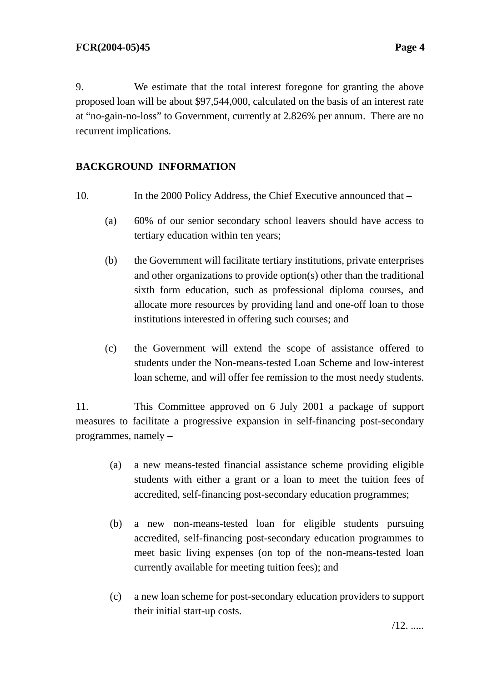9. We estimate that the total interest foregone for granting the above proposed loan will be about \$97,544,000, calculated on the basis of an interest rate at "no-gain-no-loss" to Government, currently at 2.826% per annum. There are no recurrent implications.

## **BACKGROUND INFORMATION**

- 10. In the 2000 Policy Address, the Chief Executive announced that
	- (a) 60% of our senior secondary school leavers should have access to tertiary education within ten years;
	- (b) the Government will facilitate tertiary institutions, private enterprises and other organizations to provide option(s) other than the traditional sixth form education, such as professional diploma courses, and allocate more resources by providing land and one-off loan to those institutions interested in offering such courses; and
	- (c) the Government will extend the scope of assistance offered to students under the Non-means-tested Loan Scheme and low-interest loan scheme, and will offer fee remission to the most needy students.

11. This Committee approved on 6 July 2001 a package of support measures to facilitate a progressive expansion in self-financing post-secondary programmes, namely –

- (a) a new means-tested financial assistance scheme providing eligible students with either a grant or a loan to meet the tuition fees of accredited, self-financing post-secondary education programmes;
- (b) a new non-means-tested loan for eligible students pursuing accredited, self-financing post-secondary education programmes to meet basic living expenses (on top of the non-means-tested loan currently available for meeting tuition fees); and
- (c) a new loan scheme for post-secondary education providers to support their initial start-up costs.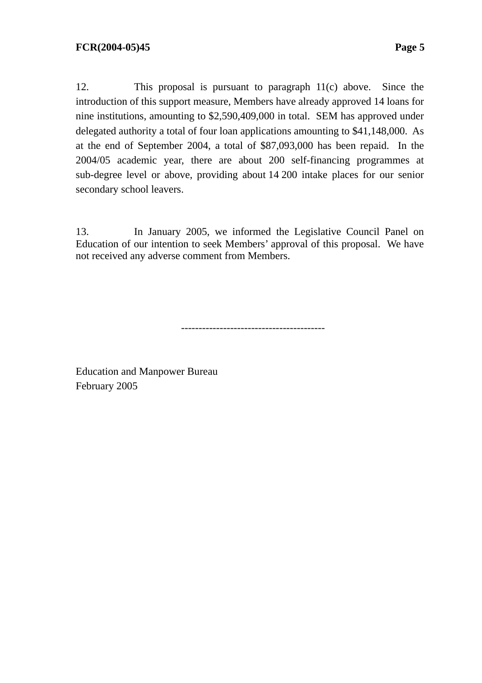12. This proposal is pursuant to paragraph 11(c) above. Since the introduction of this support measure, Members have already approved 14 loans for nine institutions, amounting to \$2,590,409,000 in total. SEM has approved under delegated authority a total of four loan applications amounting to \$41,148,000. As at the end of September 2004, a total of \$87,093,000 has been repaid. In the 2004/05 academic year, there are about 200 self-financing programmes at sub-degree level or above, providing about 14 200 intake places for our senior secondary school leavers.

13. In January 2005, we informed the Legislative Council Panel on Education of our intention to seek Members' approval of this proposal. We have not received any adverse comment from Members.

-----------------------------------------

Education and Manpower Bureau February 2005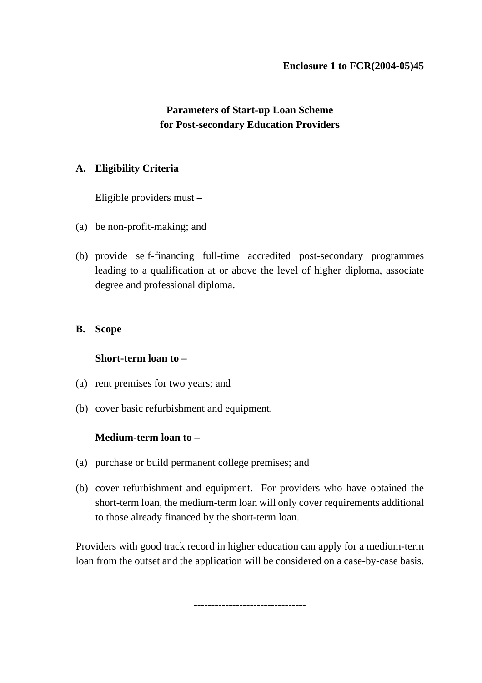## **Parameters of Start-up Loan Scheme for Post-secondary Education Providers**

## **A. Eligibility Criteria**

Eligible providers must –

- (a) be non-profit-making; and
- (b) provide self-financing full-time accredited post-secondary programmes leading to a qualification at or above the level of higher diploma, associate degree and professional diploma.

### **B. Scope**

#### **Short-term loan to –**

- (a) rent premises for two years; and
- (b) cover basic refurbishment and equipment.

## **Medium-term loan to –**

- (a) purchase or build permanent college premises; and
- (b) cover refurbishment and equipment. For providers who have obtained the short-term loan, the medium-term loan will only cover requirements additional to those already financed by the short-term loan.

Providers with good track record in higher education can apply for a medium-term loan from the outset and the application will be considered on a case-by-case basis.

--------------------------------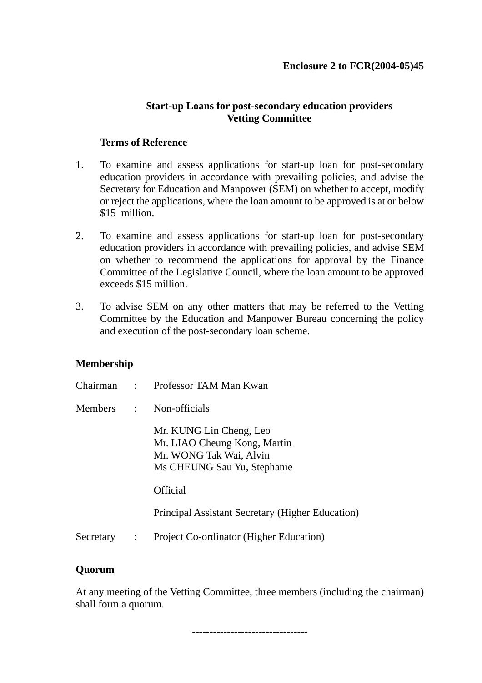### **Start-up Loans for post-secondary education providers Vetting Committee**

#### **Terms of Reference**

- 1. To examine and assess applications for start-up loan for post-secondary education providers in accordance with prevailing policies, and advise the Secretary for Education and Manpower (SEM) on whether to accept, modify or reject the applications, where the loan amount to be approved is at or below \$15 million.
- 2. To examine and assess applications for start-up loan for post-secondary education providers in accordance with prevailing policies, and advise SEM on whether to recommend the applications for approval by the Finance Committee of the Legislative Council, where the loan amount to be approved exceeds \$15 million.
- 3. To advise SEM on any other matters that may be referred to the Vetting Committee by the Education and Manpower Bureau concerning the policy and execution of the post-secondary loan scheme.

#### **Membership**

|           |                | Chairman : Professor TAM Man Kwan                                                                                 |
|-----------|----------------|-------------------------------------------------------------------------------------------------------------------|
| Members : |                | Non-officials                                                                                                     |
|           |                | Mr. KUNG Lin Cheng, Leo<br>Mr. LIAO Cheung Kong, Martin<br>Mr. WONG Tak Wai, Alvin<br>Ms CHEUNG Sau Yu, Stephanie |
|           |                | Official                                                                                                          |
|           |                | Principal Assistant Secretary (Higher Education)                                                                  |
| Secretary | $\ddot{\cdot}$ | Project Co-ordinator (Higher Education)                                                                           |

#### **Quorum**

At any meeting of the Vetting Committee, three members (including the chairman) shall form a quorum.

---------------------------------